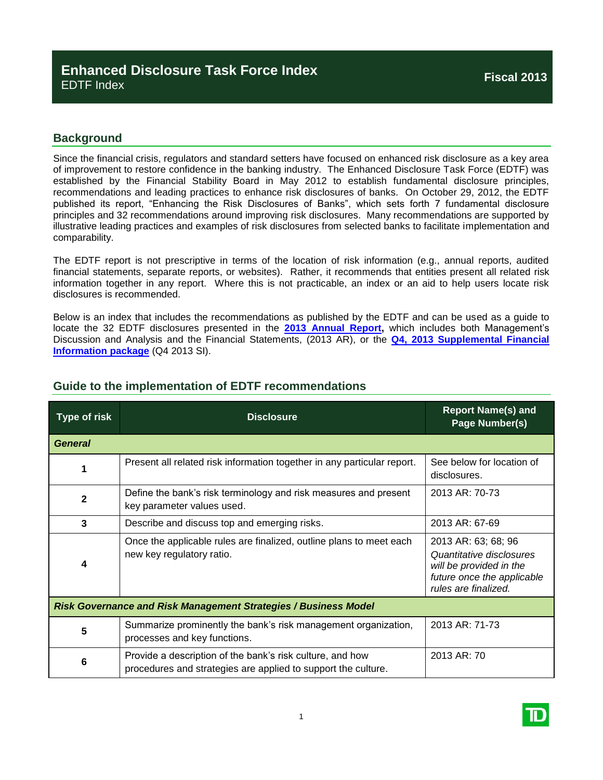## **Background**

Since the financial crisis, regulators and standard setters have focused on enhanced risk disclosure as a key area of improvement to restore confidence in the banking industry. The Enhanced Disclosure Task Force (EDTF) was established by the Financial Stability Board in May 2012 to establish fundamental disclosure principles, recommendations and leading practices to enhance risk disclosures of banks. On October 29, 2012, the EDTF published its report, "Enhancing the Risk Disclosures of Banks", which sets forth 7 fundamental disclosure principles and 32 recommendations around improving risk disclosures. Many recommendations are supported by illustrative leading practices and examples of risk disclosures from selected banks to facilitate implementation and comparability.

The EDTF report is not prescriptive in terms of the location of risk information (e.g., annual reports, audited financial statements, separate reports, or websites). Rather, it recommends that entities present all related risk information together in any report. Where this is not practicable, an index or an aid to help users locate risk disclosures is recommended.

Below is an index that includes the recommendations as published by the EDTF and can be used as a guide to locate the 32 EDTF disclosures presented in the **[2013 Annual Report,](http://www.td.com/document/PDF/ar2013/ar2013-Complete-Report.pdf)** which includes both Management's Discussion and Analysis and the Financial Statements, (2013 AR), or the **[Q4, 2013 Supplemental Financial](http://www.td.com/document/PDF/investor/2013/2013-Q4_SuppPack_F_EN.pdf)  [Information package](http://www.td.com/document/PDF/investor/2013/2013-Q4_SuppPack_F_EN.pdf)** (Q4 2013 SI).

| <b>Type of risk</b>                                                    | <b>Disclosure</b>                                                                                                          | <b>Report Name(s) and</b><br>Page Number(s)                                                                                      |  |  |
|------------------------------------------------------------------------|----------------------------------------------------------------------------------------------------------------------------|----------------------------------------------------------------------------------------------------------------------------------|--|--|
| <b>General</b>                                                         |                                                                                                                            |                                                                                                                                  |  |  |
|                                                                        | Present all related risk information together in any particular report.                                                    | See below for location of<br>disclosures.                                                                                        |  |  |
| $\mathbf{2}$                                                           | Define the bank's risk terminology and risk measures and present<br>key parameter values used.                             | 2013 AR: 70-73                                                                                                                   |  |  |
| 3                                                                      | Describe and discuss top and emerging risks.                                                                               | 2013 AR: 67-69                                                                                                                   |  |  |
| 4                                                                      | Once the applicable rules are finalized, outline plans to meet each<br>new key regulatory ratio.                           | 2013 AR: 63; 68; 96<br>Quantitative disclosures<br>will be provided in the<br>future once the applicable<br>rules are finalized. |  |  |
| <b>Risk Governance and Risk Management Strategies / Business Model</b> |                                                                                                                            |                                                                                                                                  |  |  |
| 5                                                                      | Summarize prominently the bank's risk management organization,<br>processes and key functions.                             | 2013 AR: 71-73                                                                                                                   |  |  |
| 6                                                                      | Provide a description of the bank's risk culture, and how<br>procedures and strategies are applied to support the culture. | 2013 AR: 70                                                                                                                      |  |  |

## **Guide to the implementation of EDTF recommendations**

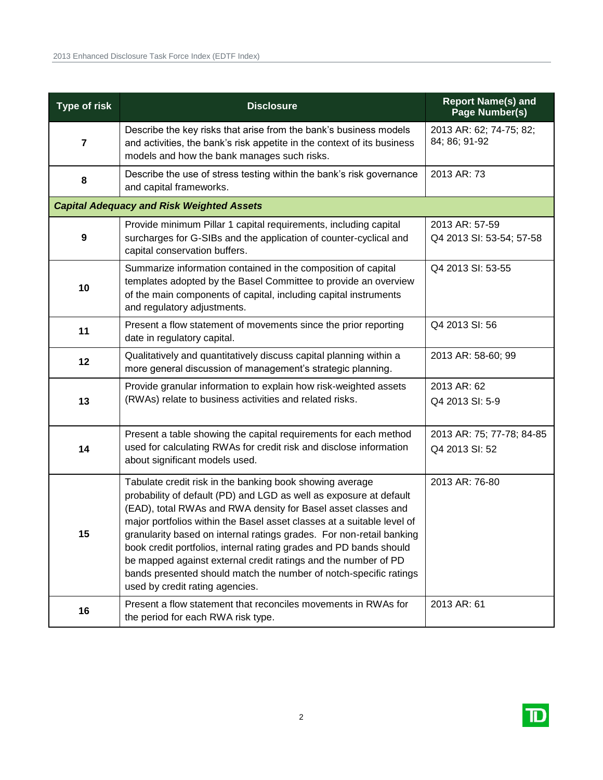| <b>Type of risk</b>                              | <b>Disclosure</b>                                                                                                                                                                                                                                                                                                                                                                                                                                                                                                                                                                                 | <b>Report Name(s) and</b><br>Page Number(s) |  |  |
|--------------------------------------------------|---------------------------------------------------------------------------------------------------------------------------------------------------------------------------------------------------------------------------------------------------------------------------------------------------------------------------------------------------------------------------------------------------------------------------------------------------------------------------------------------------------------------------------------------------------------------------------------------------|---------------------------------------------|--|--|
| $\overline{7}$                                   | Describe the key risks that arise from the bank's business models<br>and activities, the bank's risk appetite in the context of its business<br>models and how the bank manages such risks.                                                                                                                                                                                                                                                                                                                                                                                                       | 2013 AR: 62; 74-75; 82;<br>84; 86; 91-92    |  |  |
| 8                                                | Describe the use of stress testing within the bank's risk governance<br>and capital frameworks.                                                                                                                                                                                                                                                                                                                                                                                                                                                                                                   | 2013 AR: 73                                 |  |  |
| <b>Capital Adequacy and Risk Weighted Assets</b> |                                                                                                                                                                                                                                                                                                                                                                                                                                                                                                                                                                                                   |                                             |  |  |
| $\boldsymbol{9}$                                 | Provide minimum Pillar 1 capital requirements, including capital<br>surcharges for G-SIBs and the application of counter-cyclical and<br>capital conservation buffers.                                                                                                                                                                                                                                                                                                                                                                                                                            | 2013 AR: 57-59<br>Q4 2013 SI: 53-54; 57-58  |  |  |
| 10                                               | Summarize information contained in the composition of capital<br>templates adopted by the Basel Committee to provide an overview<br>of the main components of capital, including capital instruments<br>and regulatory adjustments.                                                                                                                                                                                                                                                                                                                                                               | Q4 2013 SI: 53-55                           |  |  |
| 11                                               | Present a flow statement of movements since the prior reporting<br>date in regulatory capital.                                                                                                                                                                                                                                                                                                                                                                                                                                                                                                    | Q4 2013 SI: 56                              |  |  |
| 12                                               | Qualitatively and quantitatively discuss capital planning within a<br>more general discussion of management's strategic planning.                                                                                                                                                                                                                                                                                                                                                                                                                                                                 | 2013 AR: 58-60; 99                          |  |  |
| 13                                               | Provide granular information to explain how risk-weighted assets<br>(RWAs) relate to business activities and related risks.                                                                                                                                                                                                                                                                                                                                                                                                                                                                       | 2013 AR: 62<br>Q4 2013 SI: 5-9              |  |  |
| 14                                               | Present a table showing the capital requirements for each method<br>used for calculating RWAs for credit risk and disclose information<br>about significant models used.                                                                                                                                                                                                                                                                                                                                                                                                                          | 2013 AR: 75; 77-78; 84-85<br>Q4 2013 SI: 52 |  |  |
| 15                                               | Tabulate credit risk in the banking book showing average<br>probability of default (PD) and LGD as well as exposure at default<br>(EAD), total RWAs and RWA density for Basel asset classes and<br>major portfolios within the Basel asset classes at a suitable level of<br>granularity based on internal ratings grades. For non-retail banking<br>book credit portfolios, internal rating grades and PD bands should<br>be mapped against external credit ratings and the number of PD<br>bands presented should match the number of notch-specific ratings<br>used by credit rating agencies. | 2013 AR: 76-80                              |  |  |
| 16                                               | Present a flow statement that reconciles movements in RWAs for<br>the period for each RWA risk type.                                                                                                                                                                                                                                                                                                                                                                                                                                                                                              | 2013 AR: 61                                 |  |  |

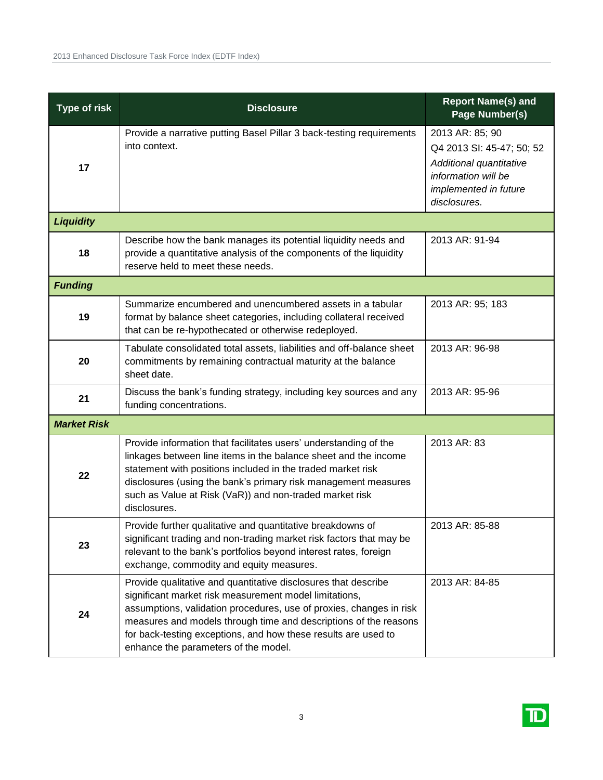| <b>Type of risk</b> | <b>Disclosure</b>                                                                                                                                                                                                                                                                                                                                                             | <b>Report Name(s) and</b><br>Page Number(s)                                                                                             |
|---------------------|-------------------------------------------------------------------------------------------------------------------------------------------------------------------------------------------------------------------------------------------------------------------------------------------------------------------------------------------------------------------------------|-----------------------------------------------------------------------------------------------------------------------------------------|
| 17                  | Provide a narrative putting Basel Pillar 3 back-testing requirements<br>into context.                                                                                                                                                                                                                                                                                         | 2013 AR: 85; 90<br>Q4 2013 SI: 45-47; 50; 52<br>Additional quantitative<br>information will be<br>implemented in future<br>disclosures. |
| <b>Liquidity</b>    |                                                                                                                                                                                                                                                                                                                                                                               |                                                                                                                                         |
| 18                  | Describe how the bank manages its potential liquidity needs and<br>provide a quantitative analysis of the components of the liquidity<br>reserve held to meet these needs.                                                                                                                                                                                                    | 2013 AR: 91-94                                                                                                                          |
| <b>Funding</b>      |                                                                                                                                                                                                                                                                                                                                                                               |                                                                                                                                         |
| 19                  | Summarize encumbered and unencumbered assets in a tabular<br>format by balance sheet categories, including collateral received<br>that can be re-hypothecated or otherwise redeployed.                                                                                                                                                                                        | 2013 AR: 95; 183                                                                                                                        |
| 20                  | Tabulate consolidated total assets, liabilities and off-balance sheet<br>commitments by remaining contractual maturity at the balance<br>sheet date.                                                                                                                                                                                                                          | 2013 AR: 96-98                                                                                                                          |
| 21                  | Discuss the bank's funding strategy, including key sources and any<br>funding concentrations.                                                                                                                                                                                                                                                                                 | 2013 AR: 95-96                                                                                                                          |
| <b>Market Risk</b>  |                                                                                                                                                                                                                                                                                                                                                                               |                                                                                                                                         |
| 22                  | Provide information that facilitates users' understanding of the<br>linkages between line items in the balance sheet and the income<br>statement with positions included in the traded market risk<br>disclosures (using the bank's primary risk management measures<br>such as Value at Risk (VaR)) and non-traded market risk<br>disclosures.                               | 2013 AR: 83                                                                                                                             |
| 23                  | Provide further qualitative and quantitative breakdowns of<br>significant trading and non-trading market risk factors that may be<br>relevant to the bank's portfolios beyond interest rates, foreign<br>exchange, commodity and equity measures.                                                                                                                             | 2013 AR: 85-88                                                                                                                          |
| 24                  | Provide qualitative and quantitative disclosures that describe<br>significant market risk measurement model limitations,<br>assumptions, validation procedures, use of proxies, changes in risk<br>measures and models through time and descriptions of the reasons<br>for back-testing exceptions, and how these results are used to<br>enhance the parameters of the model. | 2013 AR: 84-85                                                                                                                          |